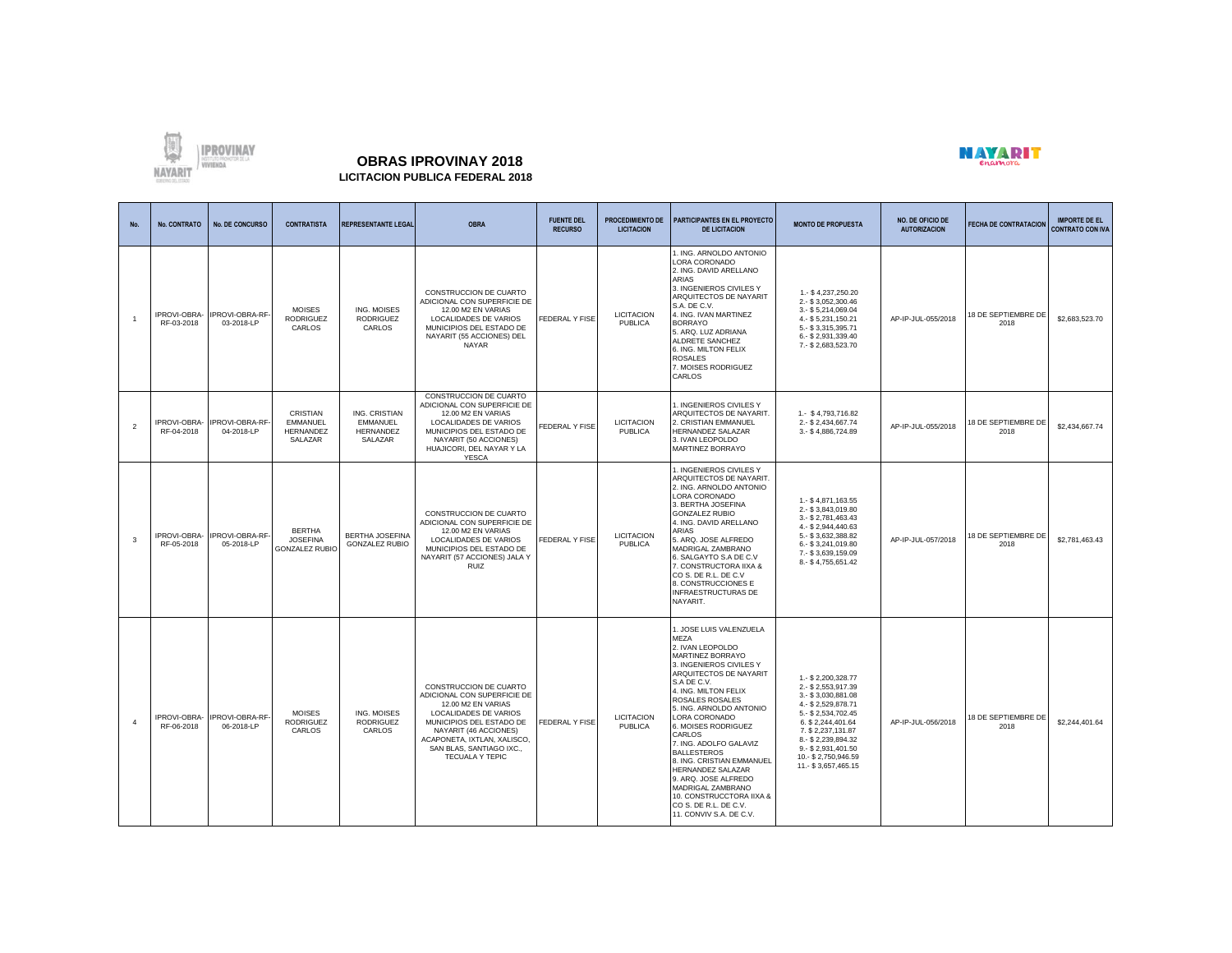

## **OBRAS IPROVINAY 2018 LICITACION PUBLICA FEDERAL 2018**



## **No. No. CONTRATO No. DE CONCURSO CONTRATISTA REPRESENTANTE LEGAL OBRA FUENTE DEL RECURSO PROCEDIMIENTO DE LICITACION PARTICIPANTES EN EL PROYECTO DE LICITACION MONTO DE PROPUESTA NO. DE OFICIO DE AUTORIZACION FECHA DE CONTRATACION IMPORTE DE EL CONTRATO CON IVA** 1 IPROVI-OBRA-RF-03-2018 PROVI-OBRA-RF 03-2018-LP MOISES RODRIGUEZ **CARLOS** ING. MOISES RODRIGUEZ CARLOS CONSTRUCCION DE CUARTO ADICIONAL CON SUPERFICIE DE 12.00 M2 EN VARIAS LOCALIDADES DE VARIOS MUNICIPIOS DEL ESTADO DE NAYARIT (55 ACCIONES) DEL NAYAR FEDERAL Y FISE LICITACION **PUBLICA** 1. ING. ARNOLDO ANTONIO LORA CORONADO 2. ING. DAVID ARELLANO ARIAS 3. INGENIEROS CIVILES Y ARQUITECTOS DE NAYARIT S.A. DE C.V. 4. ING. IVAN MARTINEZ BORRAYO 5. ARQ. LUZ ADRIANA ALDRETE SANCHEZ 6. ING. MILTON FELIX ROSALES 7. MOISES RODRIGUEZ CARLOS 1.- \$ 4,237,250.20 2.- \$ 3,052,300.46 3.- \$ 5,214,069.04 4.- \$ 5,231,150.21 5.- \$ 3,315,395.71 6.- \$ 2,931,339.40 7.- \$ 2,683,523.70 AP-IP-JUL-055/2018 18 DE SEPTIEMBRE DE \$2,683,523.70  $\overline{2}$ IPROVI-OBRA-RF-04-2018 PROVI-OBRA-RF 04-2018-LP CRISTIAN **EMMANUEL** HERNANDEZ SALAZAR ING. CRISTIAN **EMMANUEL** HERNANDEZ SALAZAR CONSTRUCCION DE CUARTO ADICIONAL CON SUPERFICIE DE 12.00 M2 EN VARIAS LOCALIDADES DE VARIOS MUNICIPIOS DEL ESTADO DE NAYARIT (50 ACCIONES) HUAJICORI, DEL NAYAR Y LA YESCA FEDERAL Y FISE LICITACION PUBLICA 1. INGENIEROS CIVILES Y ARQUITECTOS DE NAYARIT. 2. CRISTIAN EMMANUEL HERNANDEZ SALAZAR 3. IVAN LEOPOLDO MARTINEZ BORRAYO 1.- \$ 4,793,716.82 2.- \$ 2,434,667.74<br>3.- \$ 4,886,724.89 AP-IP-JUL-055/2018 18 DE SEPTIEMBRE DE \$2,434,667,74 3 IPROVI-OBRA-RF-05-2018 IPROVI-OBRA-RF-05-2018-LP BERTHA **JOSEFINA** GONZALEZ RUBIO BERTHA JOSEFINA GONZALEZ RUBIO CONSTRUCCION DE CUARTO ADICIONAL CON SUPERFICIE DE 12.00 M2 EN VARIAS LOCALIDADES DE VARIOS MUNICIPIOS DEL ESTADO DE NAYARIT (57 ACCIONES) JALA Y RUIZ FEDERAL Y FISE LICITACION PUBLICA 1. INGENIEROS CIVILES Y ARQUITECTOS DE NAYARIT. 2. ING. ARNOLDO ANTONIO LORA CORONADO 3. BERTHA JOSEFINA GONZALEZ RUBIO 4. ING. DAVID ARELLANO ARIAS 5. ARQ. JOSE ALFREDO MADRIGAL ZAMBRANO 6. SALGAYTO S.A DE C.V 7. CONSTRUCTORA IIXA & CO S. DE R.L. DE C.V 8. CONSTRUCCIONES E INFRAESTRUCTURAS DE NAYARIT. 1.- \$ 4,871,163.55 2.- \$ 3,843,019.80 3.- \$ 2,781,463.43 4.- \$ 2,944,440.63 5.- \$ 3,632,388.82 6.- \$ 3,241,019.80 7.- \$ 3,639,159.09 8.- \$ 4,755,651.42 AP-IP-JUL-057/2018 18 DE SEPTIEMBRE DE \$2,781,463.43 4 IPROVI-OBRA-RF-06-2018 PROVI-OBRA-RF 06-2018-LP MOISES RODRIGUEZ CARLOS ING. MOISES **RODRIGUEZ** CARLOS CONSTRUCCION DE CUARTO ADICIONAL CON SUPERFICIE DE 12.00 M2 EN VARIAS LOCALIDADES DE VARIOS MUNICIPIOS DEL ESTADO DE NAYARIT (46 ACCIONES) ACAPONETA, IXTLAN, XALISCO, SAN BLAS, SANTIAGO IXC. TECUALA Y TEPIC FEDERAL Y FISE LICITACION PUBLICA 1. JOSE LUIS VALENZUELA MEZA 2. IVAN LEOPOLDO MARTINEZ BORRAYO 3. INGENIEROS CIVILES Y ARQUITECTOS DE NAYARIT S.A DE C.V. 4. ING. MILTON FELIX ROSALES ROSALES 5. ING. ARNOLDO ANTONIO LORA CORONADO 6. MOISES RODRIGUEZ CARLOS 7. ING. ADOLFO GALAVIZ **BALLESTEROS** 8. ING. CRISTIAN EMMANUEL HERNANDEZ SALAZAR 9. ARQ. JOSE ALFREDO MADRIGAL ZAMBRANO 10. CONSTRUCCTORA IIXA & CO S. DE R.L. DE C.V. 11. CONVIV S.A. DE C.V. 1.- \$ 2,200,328.77 2.- \$ 2,553,917.39 3.- \$ 3,030,881.08 4.- \$ 2,529,878.71 5.- \$ 2,534,702.45 6. \$ 2,244,401.64 7. \$ 2,237,131.87 8.- \$ 2,239,894.32 9.5021,401.50 10.- \$ 2,750,946.59 11.- \$ 3,657,465.15 AP-IP-JUL-056/2018 18 DE SEPTIEMBRE DE \$2,244,401.64